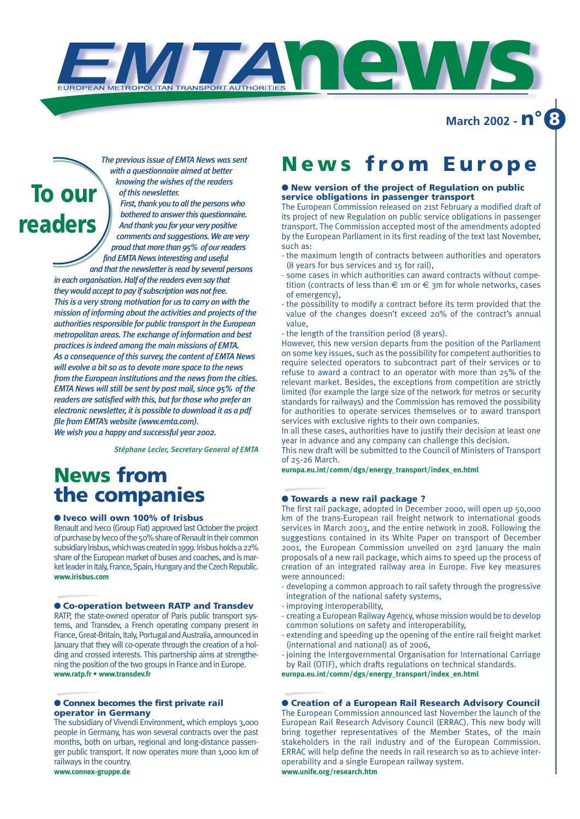**March 2002 - n° 8**



*The previous issue of EMTA News was sent with a questionnaire aimed at better knowing the wishes of the readers of this newsletter.*

*First, thank you to all the persons who bothered to answer this questionnaire. And thank you for your very positive comments and suggestions. We are very proud that more than 95% of our readers find EMTA News interesting and useful* 

*and that the newsletter is read by several persons in each organisation. Half of the readers even say that they would accept to pay if subscription was not free. This is a very strong motivation for us to carry on with the mission of informing about the activities and projects of the authorities responsible for public transport in the European metropolitan areas. The exchange of information and best practices is indeed among the main missions of EMTA. As a consequence of this survey, the content of EMTA News will evolve a bit so as to devote more space to the news from the European institutions and the news from the cities. EMTA News will still be sent by post mail, since 95% of the readers are satisfied with this, but for those who prefer an electronic newsletter, it is possible to download it as a pdf file from EMTA's website (www.emta.com). We wish you a happy and successful year 2002.*

*Stéphane Lecler, Secretary General of EMTA*

## **News from the companies**

#### ● **Iveco will own 100% of Irisbus**

Renault and Iveco (Group Fiat) approved last October the project of purchase by Iveco of the 50% share of Renault in their common subsidiary Irisbus, which was created in 1999. Irisbus holds a 22% share of the European market of buses and coaches, and is market leader in Italy, France, Spain, Hungary and the Czech Republic. **www.irisbus.com**

#### ● **Co-operation between RATP and Transdev**

RATP, the state-owned operator of Paris public transport systems, and Transdev, a French operating company present in France, Great-Britain, Italy, Portugal and Australia, announced in January that they will co-operate through the creation of a holding and crossed interests. This partnership aims at strengthening the position of the two groups in France and in Europe. **www.ratp.fr • www.transdev.fr**

#### ● **Connex becomes the first private rail operator in Germany**

The subsidiary of Vivendi Environment, which employs 3,000 people in Germany, has won several contracts over the past months, both on urban, regional and long-distance passenger public transport. It now operates more than 1,000 km of railways in the country. **www.connex-gruppe.de**

## **News from Europe**

#### ● **New version of the project of Regulation on public service obligations in passenger transport**

The European Commission released on 21st February a modified draft of its project of new Regulation on public service obligations in passenger transport. The Commission accepted most of the amendments adopted by the European Parliament in its first reading of the text last November, such as:

- the maximum length of contracts between authorities and operators (8 years for bus services and 15 for rail),
- some cases in which authorities can award contracts without competition (contracts of less than  $\epsilon$  1m or  $\epsilon$  3m for whole networks, cases of emergency),
- the possibility to modify a contract before its term provided that the value of the changes doesn't exceed 20% of the contract's annual value,
- the length of the transition period (8 years).

**news**

However, this new version departs from the position of the Parliament on some key issues, such as the possibility for competent authorities to require selected operators to subcontract part of their services or to refuse to award a contract to an operator with more than 25% of the relevant market. Besides, the exceptions from competition are strictly limited (for example the large size of the network for metros or security standards for railways) and the Commission has removed the possibility for authorities to operate services themselves or to award transport services with exclusive rights to their own companies.

In all these cases, authorities have to justify their decision at least one year in advance and any company can challenge this decision.

This new draft will be submitted to the Council of Ministers of Transport of 25-26 March.

**europa.eu.int/comm/dgs/energy\_transport/index\_en.html**

#### ● **Towards a new rail package ?**

The first rail package, adopted in December 2000, will open up 50,000 km of the trans-European rail freight network to international goods services in March 2003, and the entire network in 2008. Following the suggestions contained in its White Paper on transport of December 2001, the European Commission unveiled on 23rd January the main proposals of a new rail package, which aims to speed up the process of creation of an integrated railway area in Europe. Five key measures were announced:

- developing a common approach to rail safety through the progressive integration of the national safety systems,
- improving interoperability,
- creating a European Railway Agency, whose mission would be to develop common solutions on safety and interoperability,
- extending and speeding up the opening of the entire rail freight market (international and national) as of 2006,
- joining the Intergovernmental Organisation for International Carriage by Rail (OTIF), which drafts regulations on technical standards.

**europa.eu.int/comm/dgs/energy\_transport/index\_en.html**

#### ● **Creation of a European Rail Research Advisory Council**

The European Commission announced last November the launch of the European Rail Research Advisory Council (ERRAC). This new body will bring together representatives of the Member States, of the main stakeholders in the rail industry and of the European Commission. ERRAC will help define the needs in rail research so as to achieve interoperability and a single European railway system. **www.unife.org/research.htm**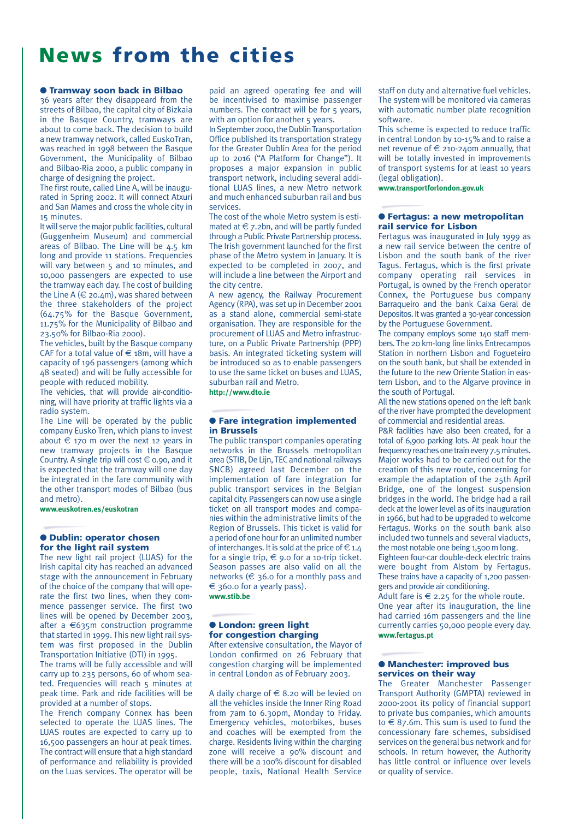## **News from the cities**

#### ● **Tramway soon back in Bilbao**

36 years after they disappeard from the streets of Bilbao, the capital city of Bizkaia in the Basque Country, tramways are about to come back. The decision to build a new tramway network, called EuskoTran, was reached in 1998 between the Basque Government, the Municipality of Bilbao and Bilbao-Ria 2000, a public company in charge of designing the project.

The first route, called Line A, will be inaugurated in Spring 2002. It will connect Atxuri and San Mames and cross the whole city in 15 minutes.

It will serve the major public facilities, cultural (Guggenheim Museum) and commercial areas of Bilbao. The Line will be 4.5 km long and provide 11 stations. Frequencies will vary between 5 and 10 minutes, and 10,000 passengers are expected to use the tramway each day. The cost of building the Line A ( $\in$  20.4m), was shared between the three stakeholders of the project (64.75% for the Basque Government, 11.75% for the Municipality of Bilbao and 23.50% for Bilbao-Ria 2000).

The vehicles, built by the Basque company CAF for a total value of  $\in$  18m, will have a capacity of 196 passengers (among which 48 seated) and will be fully accessible for people with reduced mobility.

The vehicles, that will provide air-conditioning, will have priority at traffic lights via a radio system.

The Line will be operated by the public company Eusko Tren, which plans to invest about  $\epsilon$  170 m over the next 12 years in new tramway projects in the Basque Country. A single trip will cost  $\in$  0.90, and it is expected that the tramway will one day be integrated in the fare community with the other transport modes of Bilbao (bus and metro).

**www.euskotren.es/euskotran**

#### ● **Dublin: operator chosen for the light rail system**

The new light rail project (LUAS) for the Irish capital city has reached an advanced stage with the announcement in February of the choice of the company that will operate the first two lines, when they commence passenger service. The first two lines will be opened by December 2003, after a €635m construction programme that started in 1999. This new light rail system was first proposed in the Dublin Transportation Initiative (DTI) in 1995.

The trams will be fully accessible and will carry up to 235 persons, 60 of whom seated. Frequencies will reach 5 minutes at peak time. Park and ride facilities will be provided at a number of stops.

The French company Connex has been selected to operate the LUAS lines. The LUAS routes are expected to carry up to 16,500 passengers an hour at peak times. The contract will ensure that a high standard of performance and reliability is provided on the Luas services. The operator will be paid an agreed operating fee and will be incentivised to maximise passenger numbers. The contract will be for 5 years, with an option for another 5 years.

In September 2000, the Dublin Transportation Office published its transportation strategy for the Greater Dublin Area for the period up to 2016 ("A Platform for Change"). It proposes a major expansion in public transport network, including several additional LUAS lines, a new Metro network and much enhanced suburban rail and bus services.

The cost of the whole Metro system is estimated at  $\in$  7.2bn, and will be partly funded through a Public Private Partnership process. The Irish government launched for the first phase of the Metro system in January. It is expected to be completed in 2007, and will include a line between the Airport and the city centre.

A new agency, the Railway Procurement Agency (RPA), was set up in December 2001 as a stand alone, commercial semi-state organisation. They are responsible for the procurement of LUAS and Metro infrastructure, on a Public Private Partnership (PPP) basis. An integrated ticketing system will be introduced so as to enable passengers to use the same ticket on buses and LUAS, suburban rail and Metro.

**http://www.dto.ie**

#### ● **Fare integration implemented in Brussels**

The public transport companies operating networks in the Brussels metropolitan area (STIB, De Lijn, TEC and national railways SNCB) agreed last December on the implementation of fare integration for public transport services in the Belgian capital city. Passengers can now use a single ticket on all transport modes and companies within the administrative limits of the Region of Brussels. This ticket is valid for a period of one hour for an unlimited number of interchanges. It is sold at the price of  $\in$  1.4 for a single trip,  $\in$  9.0 for a 10-trip ticket. Season passes are also valid on all the networks ( $\epsilon$  36.0 for a monthly pass and € 360.0 for a yearly pass). **www.stib.be**

#### ● **London: green light for congestion charging**

After extensive consultation, the Mayor of London confirmed on 26 February that congestion charging will be implemented in central London as of February 2003.

A daily charge of  $\in$  8.20 will be levied on all the vehicles inside the Inner Ring Road from 7am to 6.30pm, Monday to Friday. Emergency vehicles, motorbikes, buses and coaches will be exempted from the charge. Residents living within the charging zone will receive a 90% discount and there will be a 100% discount for disabled people, taxis, National Health Service staff on duty and alternative fuel vehicles. The system will be monitored via cameras with automatic number plate recognition software.

This scheme is expected to reduce traffic in central London by 10-15% and to raise a net revenue of  $\epsilon$  210-240m annually, that will be totally invested in improvements of transport systems for at least 10 years (legal obligation).

**www.transportforlondon.gov.uk**

#### ● **Fertagus: a new metropolitan rail service for Lisbon**

Fertagus was inaugurated in July 1999 as a new rail service between the centre of Lisbon and the south bank of the river Tagus. Fertagus, which is the first private company operating rail services in Portugal, is owned by the French operator Connex, the Portuguese bus company Barraqueiro and the bank Caixa Geral de Depositos. It was granted a 30-year concession by the Portuguese Government.

The company employs some 140 staff members. The 20 km-long line links Entrecampos Station in northern Lisbon and Fogueteiro on the south bank, but shall be extended in the future to the new Oriente Station in eastern Lisbon, and to the Algarve province in the south of Portugal.

All the new stations opened on the left bank of the river have prompted the development of commercial and residential areas.

P&R facilities have also been created, for a total of 6,900 parking lots. At peak hour the frequency reaches one train every 7.5 minutes. Major works had to be carried out for the creation of this new route, concerning for example the adaptation of the 25th April Bridge, one of the longest suspension bridges in the world. The bridge had a rail deck at the lower level as of its inauguration in 1966, but had to be upgraded to welcome Fertagus. Works on the south bank also included two tunnels and several viaducts, the most notable one being 1,500 m long.

Eighteen four-car double-deck electric trains were bought from Alstom by Fertagus. These trains have a capacity of 1,200 passengers and provide air conditioning.

Adult fare is  $\epsilon$  2.25 for the whole route. One year after its inauguration, the line had carried 16m passengers and the line currently carries 50,000 people every day. **www.fertagus.pt**

#### ● **Manchester: improved bus services on their way**

The Greater Manchester Passenger Transport Authority (GMPTA) reviewed in 2000-2001 its policy of financial support to private bus companies, which amounts to  $\in$  87.6m. This sum is used to fund the concessionary fare schemes, subsidised services on the general bus network and for schools. In return however, the Authority has little control or influence over levels or quality of service.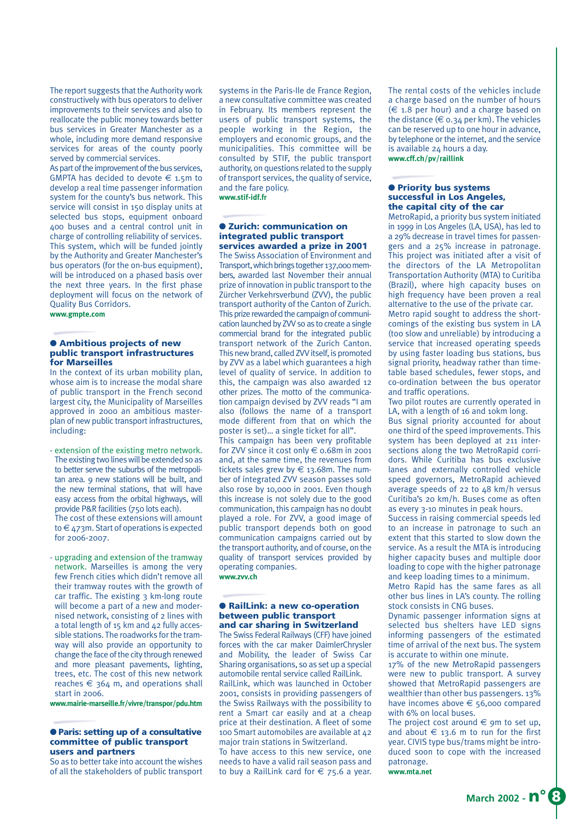The report suggests that the Authority work constructively with bus operators to deliver improvements to their services and also to reallocate the public money towards better bus services in Greater Manchester as a whole, including more demand responsive services for areas of the county poorly served by commercial services.

As part of the improvement of the bus services, GMPTA has decided to devote  $\epsilon$  1.5m to develop a real time passenger information system for the county's bus network. This service will consist in 150 display units at selected bus stops, equipment onboard 400 buses and a central control unit in charge of controlling reliability of services. This system, which will be funded jointly by the Authority and Greater Manchester's bus operators (for the on-bus equipment), will be introduced on a phased basis over the next three years. In the first phase deployment will focus on the network of Quality Bus Corridors.

**www.gmpte.com**

#### ● **Ambitious projects of new public transport infrastructures for Marseilles**

In the context of its urban mobility plan, whose aim is to increase the modal share of public transport in the French second largest city, the Municipality of Marseilles approved in 2000 an ambitious masterplan of new public transport infrastructures, including:

- extension of the existing metro network. The existing two lines will be extended so as to better serve the suburbs of the metropolitan area. 9 new stations will be built, and the new terminal stations, that will have easy access from the orbital highways, will provide P&R facilities (750 lots each). The cost of these extensions will amount to € 473m. Start of operations is expected for 2006-2007.

- upgrading and extension of the tramway network. Marseilles is among the very few French cities which didn't remove all their tramway routes with the growth of car traffic. The existing 3 km-long route will become a part of a new and modernised network, consisting of 2 lines with a total length of 15 km and 42 fully accessible stations. The roadworks for the tramway will also provide an opportunity to change the face of the city through renewed and more pleasant pavements, lighting, trees, etc. The cost of this new network reaches  $\epsilon$  364 m, and operations shall start in 2006.

**www.mairie-marseille.fr/vivre/transpor/pdu.htm**

#### ● **Paris: setting up of a consultative committee of public transport users and partners**

So as to better take into account the wishes of all the stakeholders of public transport systems in the Paris-Ile de France Region, a new consultative committee was created in February. Its members represent the users of public transport systems, the people working in the Region, the employers and economic groups, and the municipalities. This committee will be consulted by STIF, the public transport authority, on questions related to the supply of transport services, the quality of service, and the fare policy. **www.stif-idf.fr**

#### ● **Zurich: communication on integrated public transport services awarded a prize in 2001**

The Swiss Association of Environment and Transport, which brings together 137,000 members, awarded last November their annual prize of innovation in public transport to the Zürcher Verkehrsverbund (ZVV), the public transport authority of the Canton of Zurich. This prize rewarded the campaign of communication launched by ZVV so as to create a single commercial brand for the integrated public transport network of the Zurich Canton. This new brand, called ZVV itself, is promoted by ZVV as a label which guarantees a high level of quality of service. In addition to this, the campaign was also awarded 12 other prizes. The motto of the communication campaign devised by ZVV reads "I am also (follows the name of a transport mode different from that on which the poster is set)… a single ticket for all".

This campaign has been very profitable for ZVV since it cost only € 0.68m in 2001 and, at the same time, the revenues from tickets sales grew by  $\in$  13.68m. The number of integrated ZVV season passes sold also rose by 10,000 in 2001. Even though this increase is not solely due to the good communication, this campaign has no doubt played a role. For ZVV, a good image of public transport depends both on good communication campaigns carried out by the transport authority, and of course, on the quality of transport services provided by operating companies. **www.zvv.ch**

## ● **RailLink: a new co-operation**

### **between public transport and car sharing in Switzerland**

The Swiss Federal Railways (CFF) have joined forces with the car maker DaimlerChrysler and Mobility, the leader of Swiss Car Sharing organisations, so as set up a special automobile rental service called RailLink. RailLink, which was launched in October 2001, consists in providing passengers of the Swiss Railways with the possibility to rent a Smart car easily and at a cheap price at their destination. A fleet of some 100 Smart automobiles are available at 42 major train stations in Switzerland.

To have access to this new service, one needs to have a valid rail season pass and to buy a RailLink card for  $\epsilon$  75.6 a year. The rental costs of the vehicles include a charge based on the number of hours  $(\epsilon$  1.8 per hour) and a charge based on the distance ( $\in$  0.34 per km). The vehicles can be reserved up to one hour in advance, by telephone or the internet, and the service is available 24 hours a day. **www.cff.ch/pv/raillink**

#### ● **Priority bus systems successful in Los Angeles, the capital city of the car**

MetroRapid, a priority bus system initiated in 1999 in Los Angeles (LA, USA), has led to a 29% decrease in travel times for passengers and a 25% increase in patronage. This project was initiated after a visit of the directors of the LA Metropolitan Transportation Authority (MTA) to Curitiba (Brazil), where high capacity buses on high frequency have been proven a real alternative to the use of the private car. Metro rapid sought to address the shortcomings of the existing bus system in LA (too slow and unreliable) by introducing a service that increased operating speeds

by using faster loading bus stations, bus signal priority, headway rather than timetable based schedules, fewer stops, and co-ordination between the bus operator and traffic operations.

Two pilot routes are currently operated in LA, with a length of 16 and 10km long.

Bus signal priority accounted for about one third of the speed improvements. This system has been deployed at 211 intersections along the two MetroRapid corridors. While Curitiba has bus exclusive lanes and externally controlled vehicle speed governors, MetroRapid achieved average speeds of 22 to 48 km/h versus Curitiba's 20 km/h. Buses come as often as every 3-10 minutes in peak hours.

Success in raising commercial speeds led to an increase in patronage to such an extent that this started to slow down the service. As a result the MTA is introducing higher capacity buses and multiple door loading to cope with the higher patronage and keep loading times to a minimum.

Metro Rapid has the same fares as all other bus lines in LA's county. The rolling stock consists in CNG buses.

Dynamic passenger information signs at selected bus shelters have LED signs informing passengers of the estimated time of arrival of the next bus. The system is accurate to within one minute.

17% of the new MetroRapid passengers were new to public transport. A survey showed that MetroRapid passengers are wealthier than other bus passengers. 13% have incomes above  $\epsilon$  56,000 compared with 6% on local buses.

The project cost around  $\epsilon$  9m to set up, and about  $\epsilon$  13.6 m to run for the first year. CIVIS type bus/trams might be introduced soon to cope with the increased patronage.

**www.mta.net**